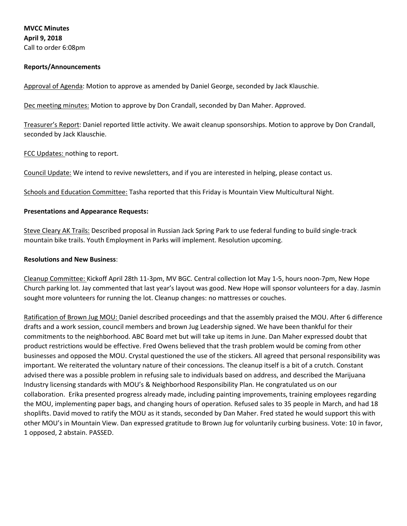**MVCC Minutes April 9, 2018** Call to order 6:08pm

### **Reports/Announcements**

Approval of Agenda: Motion to approve as amended by Daniel George, seconded by Jack Klauschie.

Dec meeting minutes: Motion to approve by Don Crandall, seconded by Dan Maher. Approved.

Treasurer's Report: Daniel reported little activity. We await cleanup sponsorships. Motion to approve by Don Crandall, seconded by Jack Klauschie.

FCC Updates: nothing to report.

Council Update: We intend to revive newsletters, and if you are interested in helping, please contact us.

Schools and Education Committee: Tasha reported that this Friday is Mountain View Multicultural Night.

### **Presentations and Appearance Requests:**

Steve Cleary AK Trails: Described proposal in Russian Jack Spring Park to use federal funding to build single-track mountain bike trails. Youth Employment in Parks will implement. Resolution upcoming.

#### **Resolutions and New Business**:

Cleanup Committee: Kickoff April 28th 11-3pm, MV BGC. Central collection lot May 1-5, hours noon-7pm, New Hope Church parking lot. Jay commented that last year's layout was good. New Hope will sponsor volunteers for a day. Jasmin sought more volunteers for running the lot. Cleanup changes: no mattresses or couches.

Ratification of Brown Jug MOU: Daniel described proceedings and that the assembly praised the MOU. After 6 difference drafts and a work session, council members and brown Jug Leadership signed. We have been thankful for their commitments to the neighborhood. ABC Board met but will take up items in June. Dan Maher expressed doubt that product restrictions would be effective. Fred Owens believed that the trash problem would be coming from other businesses and opposed the MOU. Crystal questioned the use of the stickers. All agreed that personal responsibility was important. We reiterated the voluntary nature of their concessions. The cleanup itself is a bit of a crutch. Constant advised there was a possible problem in refusing sale to individuals based on address, and described the Marijuana Industry licensing standards with MOU's & Neighborhood Responsibility Plan. He congratulated us on our collaboration. Erika presented progress already made, including painting improvements, training employees regarding the MOU, implementing paper bags, and changing hours of operation. Refused sales to 35 people in March, and had 18 shoplifts. David moved to ratify the MOU as it stands, seconded by Dan Maher. Fred stated he would support this with other MOU's in Mountain View. Dan expressed gratitude to Brown Jug for voluntarily curbing business. Vote: 10 in favor, 1 opposed, 2 abstain. PASSED.